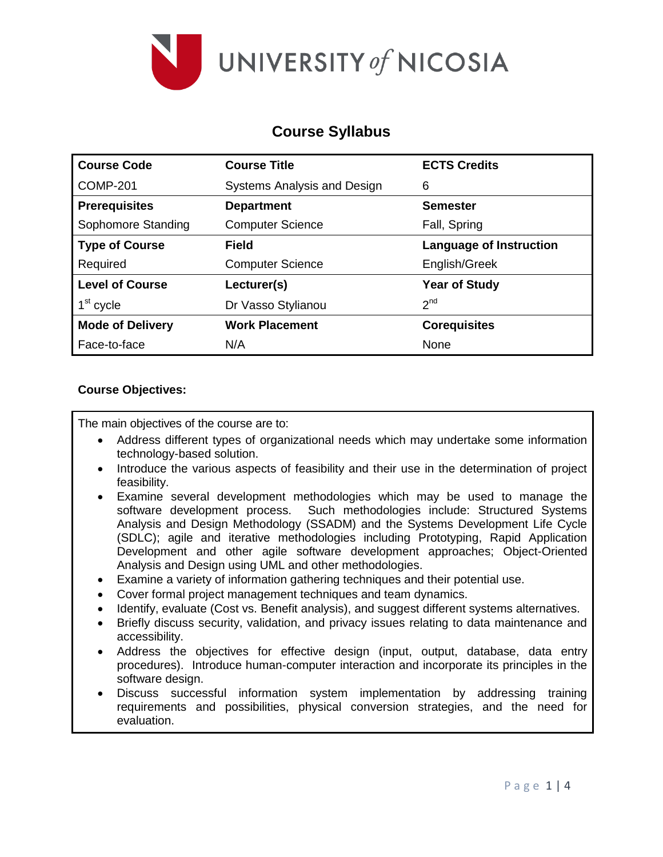

# **Course Syllabus**

| <b>Course Code</b>      | <b>Course Title</b>         | <b>ECTS Credits</b>            |
|-------------------------|-----------------------------|--------------------------------|
| <b>COMP-201</b>         | Systems Analysis and Design | 6                              |
| <b>Prerequisites</b>    | <b>Department</b>           | <b>Semester</b>                |
| Sophomore Standing      | <b>Computer Science</b>     | Fall, Spring                   |
| <b>Type of Course</b>   | Field                       | <b>Language of Instruction</b> |
| Required                | <b>Computer Science</b>     | English/Greek                  |
| <b>Level of Course</b>  | Lecturer(s)                 | <b>Year of Study</b>           |
| 1 <sup>st</sup> cycle   | Dr Vasso Stylianou          | 2 <sup>nd</sup>                |
| <b>Mode of Delivery</b> | <b>Work Placement</b>       | <b>Corequisites</b>            |
| Face-to-face            | N/A                         | None                           |

### **Course Objectives:**

The main objectives of the course are to:

- Address different types of organizational needs which may undertake some information technology-based solution.
- Introduce the various aspects of feasibility and their use in the determination of project feasibility.
- Examine several development methodologies which may be used to manage the software development process. Such methodologies include: Structured Systems Analysis and Design Methodology (SSADM) and the Systems Development Life Cycle (SDLC); agile and iterative methodologies including Prototyping, Rapid Application Development and other agile software development approaches; Object-Oriented Analysis and Design using UML and other methodologies.
- Examine a variety of information gathering techniques and their potential use.
- Cover formal project management techniques and team dynamics.
- Identify, evaluate (Cost vs. Benefit analysis), and suggest different systems alternatives.
- Briefly discuss security, validation, and privacy issues relating to data maintenance and accessibility.
- Address the objectives for effective design (input, output, database, data entry procedures). Introduce human-computer interaction and incorporate its principles in the software design.
- Discuss successful information system implementation by addressing training requirements and possibilities, physical conversion strategies, and the need for evaluation.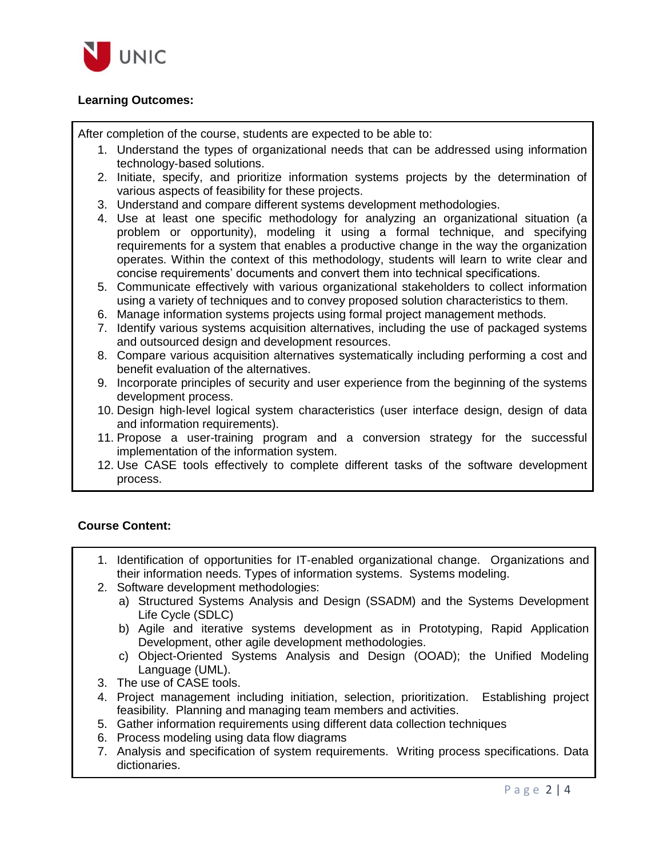

## **Learning Outcomes:**

After completion of the course, students are expected to be able to:

- 1. Understand the types of organizational needs that can be addressed using information technology‐based solutions.
- 2. Initiate, specify, and prioritize information systems projects by the determination of various aspects of feasibility for these projects.
- 3. Understand and compare different systems development methodologies.
- 4. Use at least one specific methodology for analyzing an organizational situation (a problem or opportunity), modeling it using a formal technique, and specifying requirements for a system that enables a productive change in the way the organization operates. Within the context of this methodology, students will learn to write clear and concise requirements' documents and convert them into technical specifications.
- 5. Communicate effectively with various organizational stakeholders to collect information using a variety of techniques and to convey proposed solution characteristics to them.
- 6. Manage information systems projects using formal project management methods.
- 7. Identify various systems acquisition alternatives, including the use of packaged systems and outsourced design and development resources.
- 8. Compare various acquisition alternatives systematically including performing a cost and benefit evaluation of the alternatives.
- 9. Incorporate principles of security and user experience from the beginning of the systems development process.
- 10. Design high‐level logical system characteristics (user interface design, design of data and information requirements).
- 11. Propose a user-training program and a conversion strategy for the successful implementation of the information system.
- 12. Use CASE tools effectively to complete different tasks of the software development process.

## **Course Content:**

- 1. Identification of opportunities for IT-enabled organizational change. Organizations and their information needs. Types of information systems. Systems modeling.
- 2. Software development methodologies:
	- a) Structured Systems Analysis and Design (SSADM) and the Systems Development Life Cycle (SDLC)
	- b) Agile and iterative systems development as in Prototyping, Rapid Application Development, other agile development methodologies.
	- c) Object-Oriented Systems Analysis and Design (OOAD); the Unified Modeling Language (UML).
- 3. The use of CASE tools.
- 4. Project management including initiation, selection, prioritization. Establishing project feasibility. Planning and managing team members and activities.
- 5. Gather information requirements using different data collection techniques
- 6. Process modeling using data flow diagrams
- 7. Analysis and specification of system requirements. Writing process specifications. Data dictionaries.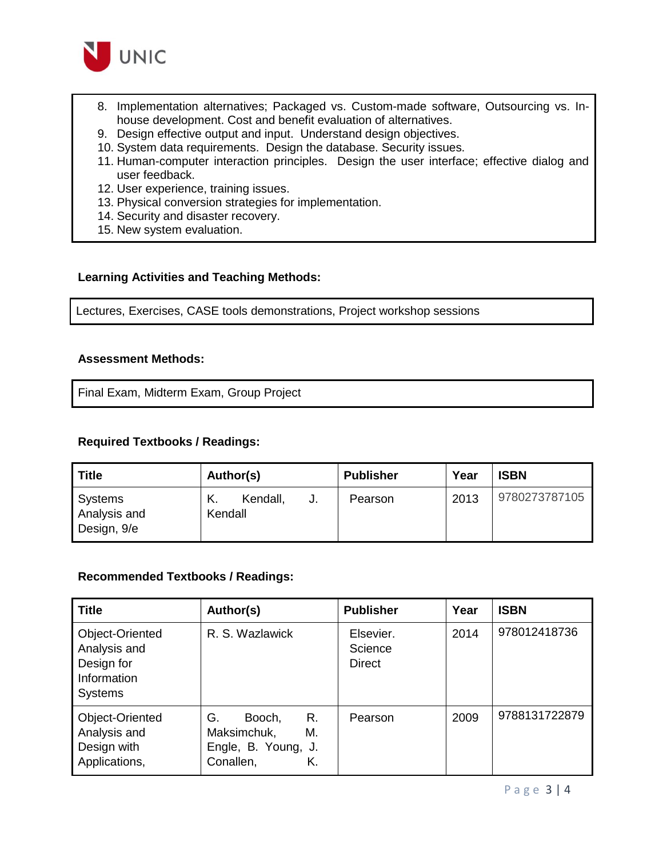

- 8. Implementation alternatives; Packaged vs. Custom-made software, Outsourcing vs. Inhouse development. Cost and benefit evaluation of alternatives.
- 9. Design effective output and input. Understand design objectives.
- 10. System data requirements. Design the database. Security issues.
- 11. Human-computer interaction principles. Design the user interface; effective dialog and user feedback.
- 12. User experience, training issues.
- 13. Physical conversion strategies for implementation.
- 14. Security and disaster recovery.
- 15. New system evaluation.

#### **Learning Activities and Teaching Methods:**

Lectures, Exercises, CASE tools demonstrations, Project workshop sessions

#### **Assessment Methods:**

Final Exam, Midterm Exam, Group Project

### **Required Textbooks / Readings:**

| <b>Title</b>                           | Author(s)                       | <b>Publisher</b> | Year | <b>ISBN</b>   |
|----------------------------------------|---------------------------------|------------------|------|---------------|
| Systems<br>Analysis and<br>Design, 9/e | К.<br>Kendall,<br>J.<br>Kendall | Pearson          | 2013 | 9780273787105 |

#### **Recommended Textbooks / Readings:**

| <b>Title</b>                                                                   | Author(s)                                                                         | <b>Publisher</b>               | Year | <b>ISBN</b>   |
|--------------------------------------------------------------------------------|-----------------------------------------------------------------------------------|--------------------------------|------|---------------|
| Object-Oriented<br>Analysis and<br>Design for<br>Information<br><b>Systems</b> | R. S. Wazlawick                                                                   | Elsevier.<br>Science<br>Direct | 2014 | 978012418736  |
| Object-Oriented<br>Analysis and<br>Design with<br>Applications,                | R.<br>G.<br>Booch,<br>Maksimchuk,<br>М.<br>Engle, B. Young, J.<br>Conallen,<br>Κ. | Pearson                        | 2009 | 9788131722879 |